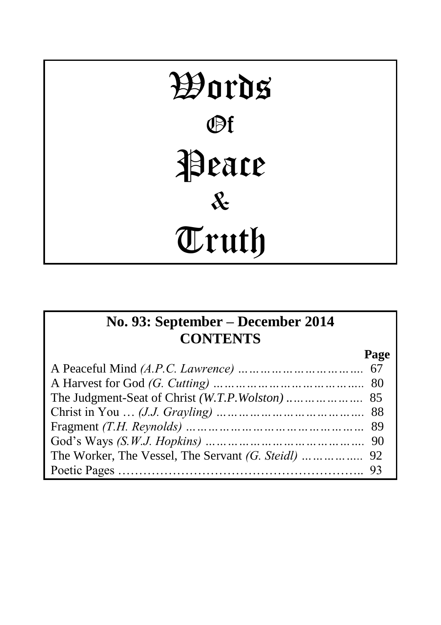# Words Of Peace & Truth

# **No. 93: September – December 2014 CONTENTS**

**Page**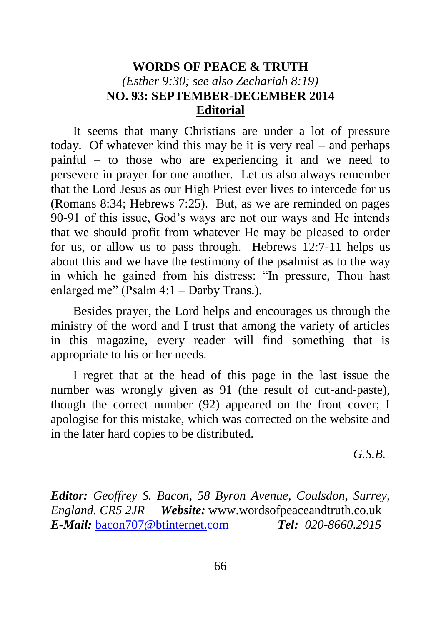# **WORDS OF PEACE & TRUTH** *(Esther 9:30; see also Zechariah 8:19)* **NO. 93: SEPTEMBER-DECEMBER 2014 Editorial**

It seems that many Christians are under a lot of pressure today. Of whatever kind this may be it is very real – and perhaps painful – to those who are experiencing it and we need to persevere in prayer for one another. Let us also always remember that the Lord Jesus as our High Priest ever lives to intercede for us (Romans 8:34; Hebrews 7:25). But, as we are reminded on pages 90-91 of this issue, God's ways are not our ways and He intends that we should profit from whatever He may be pleased to order for us, or allow us to pass through. Hebrews 12:7-11 helps us about this and we have the testimony of the psalmist as to the way in which he gained from his distress: "In pressure, Thou hast enlarged me" (Psalm 4:1 – Darby Trans.).

Besides prayer, the Lord helps and encourages us through the ministry of the word and I trust that among the variety of articles in this magazine, every reader will find something that is appropriate to his or her needs.

I regret that at the head of this page in the last issue the number was wrongly given as 91 (the result of cut-and-paste), though the correct number (92) appeared on the front cover; I apologise for this mistake, which was corrected on the website and in the later hard copies to be distributed.

*G.S.B.*

*Editor: Geoffrey S. Bacon, 58 Byron Avenue, Coulsdon, Surrey, England. CR5 2JR Website:* www.wordsofpeaceandtruth.co.uk *E-Mail:* [bacon707@btinternet.com](mailto:bacon707@btinternet.com) *Tel: 020-8660.2915*

\_\_\_\_\_\_\_\_\_\_\_\_\_\_\_\_\_\_\_\_\_\_\_\_\_\_\_\_\_\_\_\_\_\_\_\_\_\_\_\_\_\_\_\_\_\_\_\_\_\_\_\_\_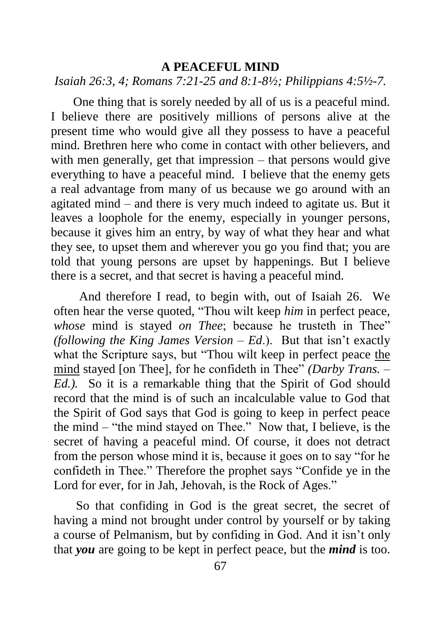#### **A PEACEFUL MIND**

# *Isaiah 26:3, 4; Romans 7:21-25 and 8:1-8½; Philippians 4:5½-7.*

One thing that is sorely needed by all of us is a peaceful mind. I believe there are positively millions of persons alive at the present time who would give all they possess to have a peaceful mind. Brethren here who come in contact with other believers, and with men generally, get that impression – that persons would give everything to have a peaceful mind. I believe that the enemy gets a real advantage from many of us because we go around with an agitated mind – and there is very much indeed to agitate us. But it leaves a loophole for the enemy, especially in younger persons, because it gives him an entry, by way of what they hear and what they see, to upset them and wherever you go you find that; you are told that young persons are upset by happenings. But I believe there is a secret, and that secret is having a peaceful mind.

And therefore I read, to begin with, out of Isaiah 26. We often hear the verse quoted, "Thou wilt keep *him* in perfect peace, *whose* mind is stayed *on Thee*; because he trusteth in Thee" *(following the King James Version – Ed*.). But that isn't exactly what the Scripture says, but "Thou wilt keep in perfect peace the mind stayed [on Thee], for he confideth in Thee" *(Darby Trans. – Ed.).* So it is a remarkable thing that the Spirit of God should record that the mind is of such an incalculable value to God that the Spirit of God says that God is going to keep in perfect peace the mind – "the mind stayed on Thee." Now that, I believe, is the secret of having a peaceful mind. Of course, it does not detract from the person whose mind it is, because it goes on to say "for he confideth in Thee." Therefore the prophet says "Confide ye in the Lord for ever, for in Jah, Jehovah, is the Rock of Ages."

So that confiding in God is the great secret, the secret of having a mind not brought under control by yourself or by taking a course of Pelmanism, but by confiding in God. And it isn't only that *you* are going to be kept in perfect peace, but the *mind* is too.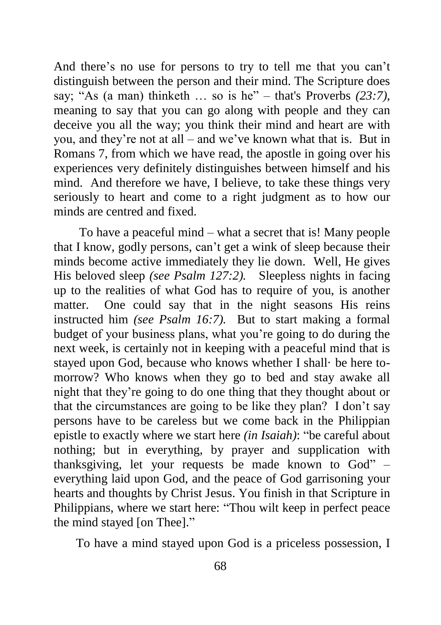And there's no use for persons to try to tell me that you can't distinguish between the person and their mind. The Scripture does say; "As (a man) thinketh … so is he" – that's Proverbs *(23:7)*, meaning to say that you can go along with people and they can deceive you all the way; you think their mind and heart are with you, and they're not at all – and we've known what that is. But in Romans 7, from which we have read, the apostle in going over his experiences very definitely distinguishes between himself and his mind. And therefore we have, I believe, to take these things very seriously to heart and come to a right judgment as to how our minds are centred and fixed.

To have a peaceful mind – what a secret that is! Many people that I know, godly persons, can't get a wink of sleep because their minds become active immediately they lie down. Well, He gives His beloved sleep *(see Psalm 127:2).* Sleepless nights in facing up to the realities of what God has to require of you, is another matter. One could say that in the night seasons His reins instructed him *(see Psalm 16:7).* But to start making a formal budget of your business plans, what you're going to do during the next week, is certainly not in keeping with a peaceful mind that is stayed upon God, because who knows whether I shall· be here tomorrow? Who knows when they go to bed and stay awake all night that they're going to do one thing that they thought about or that the circumstances are going to be like they plan? I don't say persons have to be careless but we come back in the Philippian epistle to exactly where we start here *(in Isaiah)*: "be careful about nothing; but in everything, by prayer and supplication with thanksgiving, let your requests be made known to God" – everything laid upon God, and the peace of God garrisoning your hearts and thoughts by Christ Jesus. You finish in that Scripture in Philippians, where we start here: "Thou wilt keep in perfect peace the mind stayed [on Thee]."

To have a mind stayed upon God is a priceless possession, I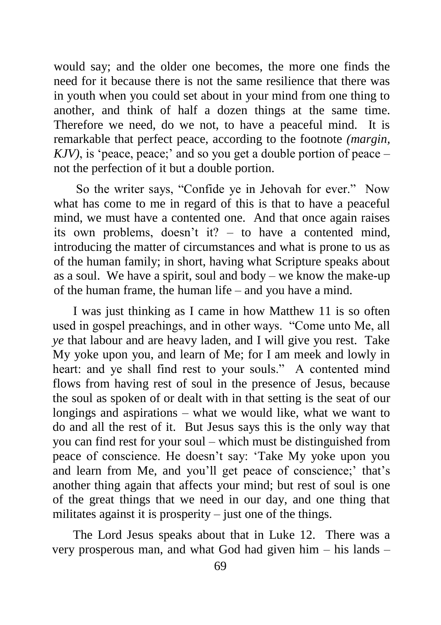would say; and the older one becomes, the more one finds the need for it because there is not the same resilience that there was in youth when you could set about in your mind from one thing to another, and think of half a dozen things at the same time. Therefore we need, do we not, to have a peaceful mind. It is remarkable that perfect peace, according to the footnote *(margin, KJV)*, is 'peace, peace;' and so you get a double portion of peace – not the perfection of it but a double portion.

So the writer says, "Confide ye in Jehovah for ever." Now what has come to me in regard of this is that to have a peaceful mind, we must have a contented one. And that once again raises its own problems, doesn't it? – to have a contented mind, introducing the matter of circumstances and what is prone to us as of the human family; in short, having what Scripture speaks about as a soul. We have a spirit, soul and body – we know the make-up of the human frame, the human life – and you have a mind.

I was just thinking as I came in how Matthew 11 is so often used in gospel preachings, and in other ways. "Come unto Me, all *ye* that labour and are heavy laden, and I will give you rest. Take My yoke upon you, and learn of Me; for I am meek and lowly in heart: and ye shall find rest to your souls." A contented mind flows from having rest of soul in the presence of Jesus, because the soul as spoken of or dealt with in that setting is the seat of our longings and aspirations – what we would like, what we want to do and all the rest of it. But Jesus says this is the only way that you can find rest for your soul – which must be distinguished from peace of conscience. He doesn't say: 'Take My yoke upon you and learn from Me, and you'll get peace of conscience;' that's another thing again that affects your mind; but rest of soul is one of the great things that we need in our day, and one thing that militates against it is prosperity  $-$  just one of the things.

The Lord Jesus speaks about that in Luke 12. There was a very prosperous man, and what God had given him – his lands –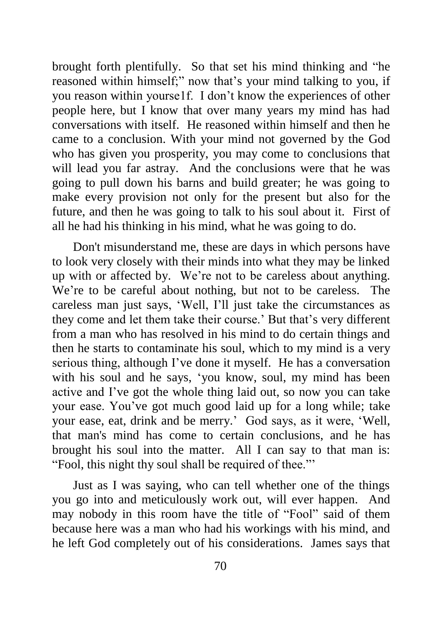brought forth plentifully. So that set his mind thinking and "he reasoned within himself;" now that's your mind talking to you, if you reason within yourse1f. I don't know the experiences of other people here, but I know that over many years my mind has had conversations with itself. He reasoned within himself and then he came to a conclusion. With your mind not governed by the God who has given you prosperity, you may come to conclusions that will lead you far astray. And the conclusions were that he was going to pull down his barns and build greater; he was going to make every provision not only for the present but also for the future, and then he was going to talk to his soul about it. First of all he had his thinking in his mind, what he was going to do.

Don't misunderstand me, these are days in which persons have to look very closely with their minds into what they may be linked up with or affected by. We're not to be careless about anything. We're to be careful about nothing, but not to be careless. The careless man just says, 'Well, I'll just take the circumstances as they come and let them take their course.' But that's very different from a man who has resolved in his mind to do certain things and then he starts to contaminate his soul, which to my mind is a very serious thing, although I've done it myself. He has a conversation with his soul and he says, 'you know, soul, my mind has been active and I've got the whole thing laid out, so now you can take your ease. You've got much good laid up for a long while; take your ease, eat, drink and be merry.' God says, as it were, 'Well, that man's mind has come to certain conclusions, and he has brought his soul into the matter. All I can say to that man is: "Fool, this night thy soul shall be required of thee."'

Just as I was saying, who can tell whether one of the things you go into and meticulously work out, will ever happen. And may nobody in this room have the title of "Fool" said of them because here was a man who had his workings with his mind, and he left God completely out of his considerations. James says that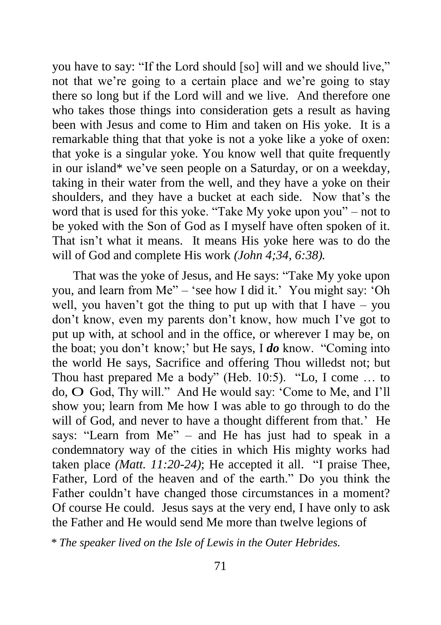you have to say: "If the Lord should [so] will and we should live," not that we're going to a certain place and we're going to stay there so long but if the Lord will and we live. And therefore one who takes those things into consideration gets a result as having been with Jesus and come to Him and taken on His yoke. It is a remarkable thing that that yoke is not a yoke like a yoke of oxen: that yoke is a singular yoke. You know well that quite frequently in our island\* we've seen people on a Saturday, or on a weekday, taking in their water from the well, and they have a yoke on their shoulders, and they have a bucket at each side. Now that's the word that is used for this yoke. "Take My yoke upon you" – not to be yoked with the Son of God as I myself have often spoken of it. That isn't what it means. It means His yoke here was to do the will of God and complete His work *(John 4;34, 6:38).*

That was the yoke of Jesus, and He says: "Take My yoke upon you, and learn from Me" – 'see how I did it.' You might say: 'Oh well, you haven't got the thing to put up with that I have – you don't know, even my parents don't know, how much I've got to put up with, at school and in the office, or wherever I may be, on the boat; you don't know;' but He says, I *do* know. "Coming into the world He says, Sacrifice and offering Thou willedst not; but Thou hast prepared Me a body" (Heb. 10:5). "Lo, I come … to do, O God, Thy will." And He would say: 'Come to Me, and I'll show you; learn from Me how I was able to go through to do the will of God, and never to have a thought different from that.' He says: "Learn from Me" – and He has just had to speak in a condemnatory way of the cities in which His mighty works had taken place *(Matt. 11:20-24)*; He accepted it all. "I praise Thee, Father, Lord of the heaven and of the earth." Do you think the Father couldn't have changed those circumstances in a moment? Of course He could. Jesus says at the very end, I have only to ask the Father and He would send Me more than twelve legions of

*\* The speaker lived on the Isle of Lewis in the Outer Hebrides.*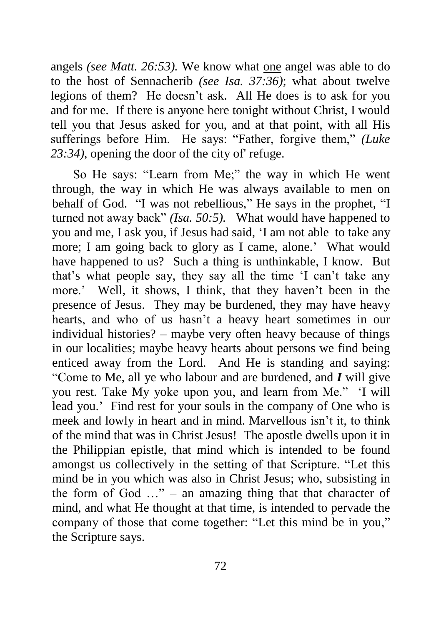angels *(see Matt. 26:53).* We know what one angel was able to do to the host of Sennacherib *(see Isa. 37:36)*; what about twelve legions of them? He doesn't ask. All He does is to ask for you and for me. If there is anyone here tonight without Christ, I would tell you that Jesus asked for you, and at that point, with all His sufferings before Him. He says: "Father, forgive them," *(Luke 23:34)*, opening the door of the city of' refuge.

So He says: "Learn from Me;" the way in which He went through, the way in which He was always available to men on behalf of God. "I was not rebellious," He says in the prophet, "I turned not away back" *(Isa. 50:5).* What would have happened to you and me, I ask you, if Jesus had said, 'I am not able to take any more; I am going back to glory as I came, alone.' What would have happened to us? Such a thing is unthinkable, I know. But that's what people say, they say all the time 'I can't take any more.' Well, it shows, I think, that they haven't been in the presence of Jesus. They may be burdened, they may have heavy hearts, and who of us hasn't a heavy heart sometimes in our individual histories? – maybe very often heavy because of things in our localities; maybe heavy hearts about persons we find being enticed away from the Lord. And He is standing and saying: "Come to Me, all ye who labour and are burdened, and *I* will give you rest. Take My yoke upon you, and learn from Me." 'I will lead you.' Find rest for your souls in the company of One who is meek and lowly in heart and in mind. Marvellous isn't it, to think of the mind that was in Christ Jesus! The apostle dwells upon it in the Philippian epistle, that mind which is intended to be found amongst us collectively in the setting of that Scripture. "Let this mind be in you which was also in Christ Jesus; who, subsisting in the form of God  $\ldots$ " – an amazing thing that that character of mind, and what He thought at that time, is intended to pervade the company of those that come together: "Let this mind be in you," the Scripture says.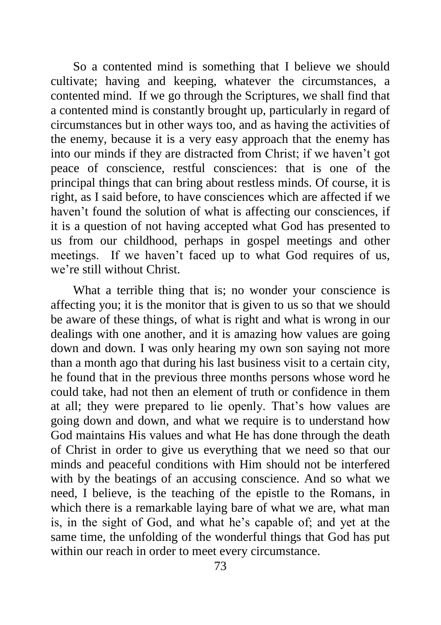So a contented mind is something that I believe we should cultivate; having and keeping, whatever the circumstances, a contented mind. If we go through the Scriptures, we shall find that a contented mind is constantly brought up, particularly in regard of circumstances but in other ways too, and as having the activities of the enemy, because it is a very easy approach that the enemy has into our minds if they are distracted from Christ; if we haven't got peace of conscience, restful consciences: that is one of the principal things that can bring about restless minds. Of course, it is right, as I said before, to have consciences which are affected if we haven't found the solution of what is affecting our consciences, if it is a question of not having accepted what God has presented to us from our childhood, perhaps in gospel meetings and other meetings. If we haven't faced up to what God requires of us, we're still without Christ.

What a terrible thing that is; no wonder your conscience is affecting you; it is the monitor that is given to us so that we should be aware of these things, of what is right and what is wrong in our dealings with one another, and it is amazing how values are going down and down. I was only hearing my own son saying not more than a month ago that during his last business visit to a certain city, he found that in the previous three months persons whose word he could take, had not then an element of truth or confidence in them at all; they were prepared to lie openly. That's how values are going down and down, and what we require is to understand how God maintains His values and what He has done through the death of Christ in order to give us everything that we need so that our minds and peaceful conditions with Him should not be interfered with by the beatings of an accusing conscience. And so what we need, I believe, is the teaching of the epistle to the Romans, in which there is a remarkable laying bare of what we are, what man is, in the sight of God, and what he's capable of; and yet at the same time, the unfolding of the wonderful things that God has put within our reach in order to meet every circumstance.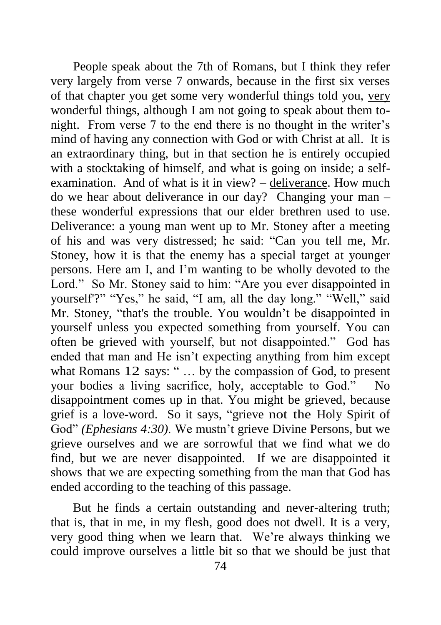People speak about the 7th of Romans, but I think they refer very largely from verse 7 onwards, because in the first six verses of that chapter you get some very wonderful things told you, very wonderful things, although I am not going to speak about them tonight. From verse 7 to the end there is no thought in the writer's mind of having any connection with God or with Christ at all. It is an extraordinary thing, but in that section he is entirely occupied with a stocktaking of himself, and what is going on inside; a selfexamination. And of what is it in view? – deliverance. How much do we hear about deliverance in our day? Changing your man – these wonderful expressions that our elder brethren used to use. Deliverance: a young man went up to Mr. Stoney after a meeting of his and was very distressed; he said: "Can you tell me, Mr. Stoney, how it is that the enemy has a special target at younger persons. Here am I, and I'm wanting to be wholly devoted to the Lord." So Mr. Stoney said to him: "Are you ever disappointed in yourself'?" "Yes," he said, "I am, all the day long." "Well," said Mr. Stoney, "that's the trouble. You wouldn't be disappointed in yourself unless you expected something from yourself. You can often be grieved with yourself, but not disappointed." God has ended that man and He isn't expecting anything from him except what Romans 12 says: "... by the compassion of God, to present your bodies a living sacrifice, holy, acceptable to God." No disappointment comes up in that. You might be grieved, because grief is a love-word. So it says, "grieve not the Holy Spirit of God" *(Ephesians 4:30)*. We mustn't grieve Divine Persons, but we grieve ourselves and we are sorrowful that we find what we do find, but we are never disappointed. If we are disappointed it shows that we are expecting something from the man that God has ended according to the teaching of this passage.

But he finds a certain outstanding and never-altering truth; that is, that in me, in my flesh, good does not dwell. It is a very, very good thing when we learn that. We're always thinking we could improve ourselves a little bit so that we should be just that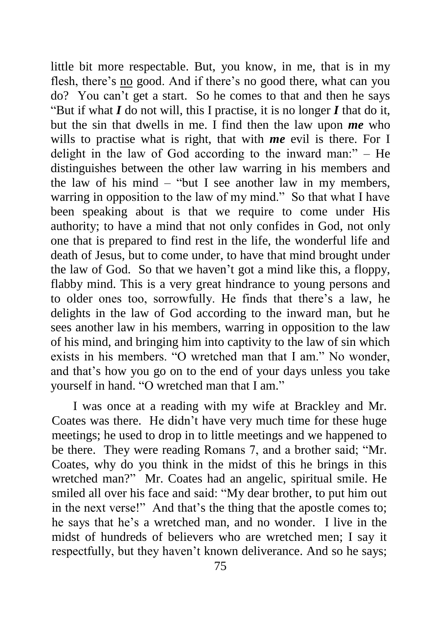little bit more respectable. But, you know, in me, that is in my flesh, there's no good. And if there's no good there, what can you do? You can't get a start. So he comes to that and then he says "But if what *I* do not will, this I practise, it is no longer *I* that do it, but the sin that dwells in me. I find then the law upon *me* who wills to practise what is right, that with *me* evil is there. For I delight in the law of God according to the inward man:" – He distinguishes between the other law warring in his members and the law of his mind  $-$  "but I see another law in my members, warring in opposition to the law of my mind." So that what I have been speaking about is that we require to come under His authority; to have a mind that not only confides in God, not only one that is prepared to find rest in the life, the wonderful life and death of Jesus, but to come under, to have that mind brought under the law of God. So that we haven't got a mind like this, a floppy, flabby mind. This is a very great hindrance to young persons and to older ones too, sorrowfully. He finds that there's a law, he delights in the law of God according to the inward man, but he sees another law in his members, warring in opposition to the law of his mind, and bringing him into captivity to the law of sin which exists in his members. "O wretched man that I am." No wonder, and that's how you go on to the end of your days unless you take yourself in hand. "O wretched man that I am."

I was once at a reading with my wife at Brackley and Mr. Coates was there. He didn't have very much time for these huge meetings; he used to drop in to little meetings and we happened to be there. They were reading Romans 7, and a brother said; "Mr. Coates, why do you think in the midst of this he brings in this wretched man?" Mr. Coates had an angelic, spiritual smile. He smiled all over his face and said: "My dear brother, to put him out in the next verse!" And that's the thing that the apostle comes to; he says that he's a wretched man, and no wonder. I live in the midst of hundreds of believers who are wretched men; I say it respectfully, but they haven't known deliverance. And so he says;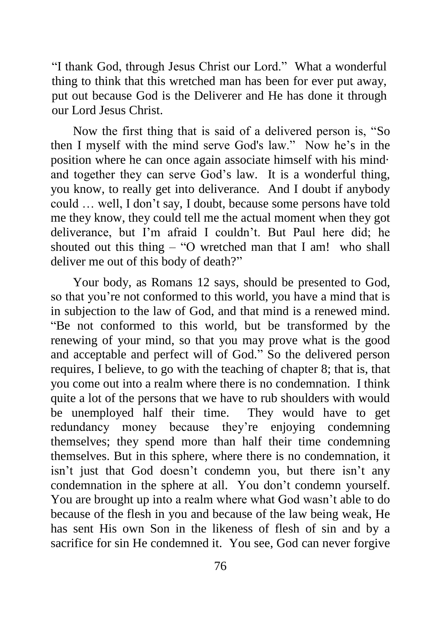"I thank God, through Jesus Christ our Lord." What a wonderful thing to think that this wretched man has been for ever put away, put out because God is the Deliverer and He has done it through our Lord Jesus Christ.

Now the first thing that is said of a delivered person is, "So then I myself with the mind serve God's law." Now he's in the position where he can once again associate himself with his mind· and together they can serve God's law. It is a wonderful thing, you know, to really get into deliverance. And I doubt if anybody could … well, I don't say, I doubt, because some persons have told me they know, they could tell me the actual moment when they got deliverance, but I'm afraid I couldn't. But Paul here did; he shouted out this thing – "O wretched man that I am! who shall deliver me out of this body of death?"

Your body, as Romans 12 says, should be presented to God, so that you're not conformed to this world, you have a mind that is in subjection to the law of God, and that mind is a renewed mind. "Be not conformed to this world, but be transformed by the renewing of your mind, so that you may prove what is the good and acceptable and perfect will of God." So the delivered person requires, I believe, to go with the teaching of chapter 8; that is, that you come out into a realm where there is no condemnation. I think quite a lot of the persons that we have to rub shoulders with would be unemployed half their time. They would have to get redundancy money because they're enjoying condemning themselves; they spend more than half their time condemning themselves. But in this sphere, where there is no condemnation, it isn't just that God doesn't condemn you, but there isn't any condemnation in the sphere at all. You don't condemn yourself. You are brought up into a realm where what God wasn't able to do because of the flesh in you and because of the law being weak, He has sent His own Son in the likeness of flesh of sin and by a sacrifice for sin He condemned it. You see, God can never forgive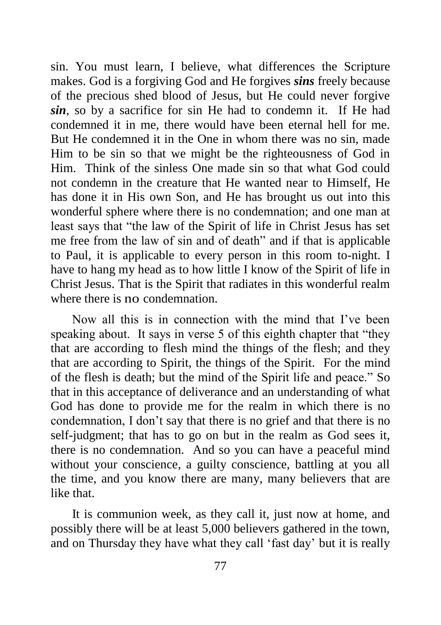sin. You must learn, I believe, what differences the Scripture makes. God is a forgiving God and He forgives *sins* freely because of the precious shed blood of Jesus, but He could never forgive *sin*, so by a sacrifice for sin He had to condemn it. If He had condemned it in me, there would have been eternal hell for me. But He condemned it in the One in whom there was no sin, made Him to be sin so that we might be the righteousness of God in Him. Think of the sinless One made sin so that what God could not condemn in the creature that He wanted near to Himself, He has done it in His own Son, and He has brought us out into this wonderful sphere where there is no condemnation; and one man at least says that "the law of the Spirit of life in Christ Jesus has set me free from the law of sin and of death" and if that is applicable to Paul, it is applicable to every person in this room to-night. I have to hang my head as to how little I know of the Spirit of life in Christ Jesus. That is the Spirit that radiates in this wonderful realm where there is no condemnation.

Now all this is in connection with the mind that I've been speaking about. It says in verse 5 of this eighth chapter that "they that are according to flesh mind the things of the flesh; and they that are according to Spirit, the things of the Spirit. For the mind of the flesh is death; but the mind of the Spirit life and peace." So that in this acceptance of deliverance and an understanding of what God has done to provide me for the realm in which there is no condemnation, I don't say that there is no grief and that there is no self-judgment; that has to go on but in the realm as God sees it, there is no condemnation. And so you can have a peaceful mind without your conscience, a guilty conscience, battling at you all the time, and you know there are many, many believers that are like that.

It is communion week, as they call it, just now at home, and possibly there will be at least 5,000 believers gathered in the town, and on Thursday they have what they call 'fast day' but it is really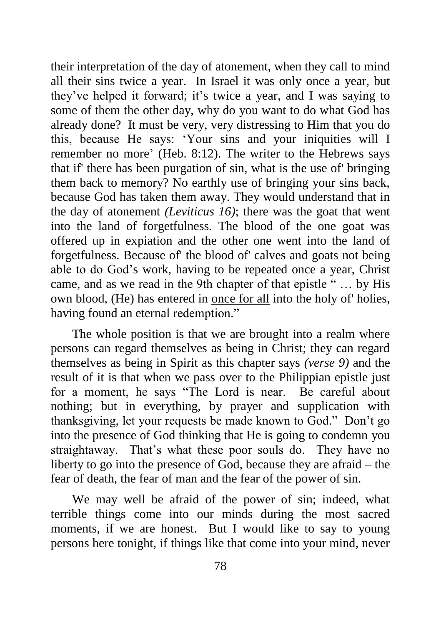their interpretation of the day of atonement, when they call to mind all their sins twice a year. In Israel it was only once a year, but they've helped it forward; it's twice a year, and I was saying to some of them the other day, why do you want to do what God has already done? It must be very, very distressing to Him that you do this, because He says: 'Your sins and your iniquities will I remember no more' (Heb. 8:12). The writer to the Hebrews says that if' there has been purgation of sin, what is the use of' bringing them back to memory? No earthly use of bringing your sins back, because God has taken them away. They would understand that in the day of atonement *(Leviticus 16)*; there was the goat that went into the land of forgetfulness. The blood of the one goat was offered up in expiation and the other one went into the land of forgetfulness. Because of' the blood of' calves and goats not being able to do God's work, having to be repeated once a year, Christ came, and as we read in the 9th chapter of that epistle " … by His own blood, (He) has entered in once for all into the holy of' holies, having found an eternal redemption."

The whole position is that we are brought into a realm where persons can regard themselves as being in Christ; they can regard themselves as being in Spirit as this chapter says *(verse 9)* and the result of it is that when we pass over to the Philippian epistle just for a moment, he says "The Lord is near. Be careful about nothing; but in everything, by prayer and supplication with thanksgiving, let your requests be made known to God." Don't go into the presence of God thinking that He is going to condemn you straightaway. That's what these poor souls do. They have no liberty to go into the presence of God, because they are afraid – the fear of death, the fear of man and the fear of the power of sin.

We may well be afraid of the power of sin; indeed, what terrible things come into our minds during the most sacred moments, if we are honest. But I would like to say to young persons here tonight, if things like that come into your mind, never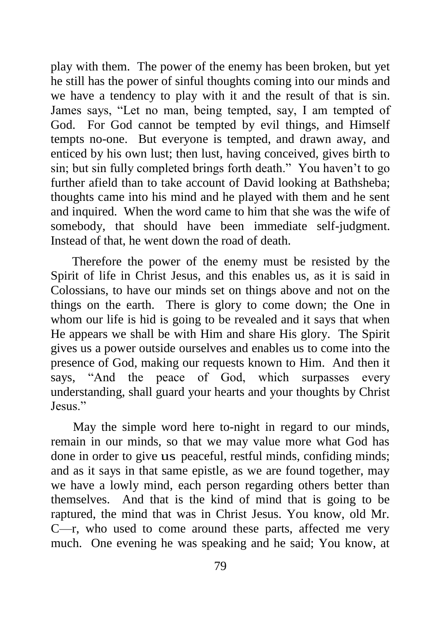play with them. The power of the enemy has been broken, but yet he still has the power of sinful thoughts coming into our minds and we have a tendency to play with it and the result of that is sin. James says, "Let no man, being tempted, say, I am tempted of God. For God cannot be tempted by evil things, and Himself tempts no-one. But everyone is tempted, and drawn away, and enticed by his own lust; then lust, having conceived, gives birth to sin; but sin fully completed brings forth death." You haven't to go further afield than to take account of David looking at Bathsheba; thoughts came into his mind and he played with them and he sent and inquired. When the word came to him that she was the wife of somebody, that should have been immediate self-judgment. Instead of that, he went down the road of death.

Therefore the power of the enemy must be resisted by the Spirit of life in Christ Jesus, and this enables us, as it is said in Colossians, to have our minds set on things above and not on the things on the earth. There is glory to come down; the One in whom our life is hid is going to be revealed and it says that when He appears we shall be with Him and share His glory. The Spirit gives us a power outside ourselves and enables us to come into the presence of God, making our requests known to Him. And then it says, "And the peace of God, which surpasses every understanding, shall guard your hearts and your thoughts by Christ Jesus."

May the simple word here to-night in regard to our minds, remain in our minds, so that we may value more what God has done in order to give us peaceful, restful minds, confiding minds; and as it says in that same epistle, as we are found together, may we have a lowly mind, each person regarding others better than themselves. And that is the kind of mind that is going to be raptured, the mind that was in Christ Jesus. You know, old Mr. C—r, who used to come around these parts, affected me very much. One evening he was speaking and he said; You know, at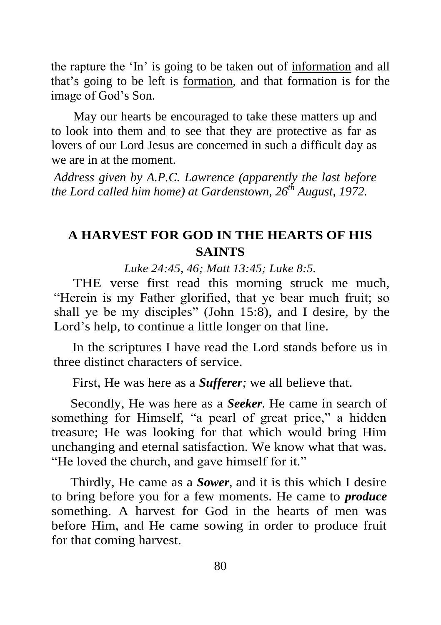the rapture the 'In' is going to be taken out of information and all that's going to be left is formation, and that formation is for the image of God's Son.

May our hearts be encouraged to take these matters up and to look into them and to see that they are protective as far as lovers of our Lord Jesus are concerned in such a difficult day as we are in at the moment.

*Address given by A.P.C. Lawrence (apparently the last before the Lord called him home) at Gardenstown, 26th August, 1972.*

# **A HARVEST FOR GOD IN THE HEARTS OF HIS SAINTS**

*Luke 24:45, 46; Matt 13:45; Luke 8:5.*

THE verse first read this morning struck me much, "Herein is my Father glorified, that ye bear much fruit; so shall ye be my disciples" (John 15:8), and I desire, by the Lord's help, to continue a little longer on that line.

In the scriptures I have read the Lord stands before us in three distinct characters of service.

First, He was here as a *Sufferer;* we all believe that.

Secondly, He was here as a *Seeker.* He came in search of something for Himself, "a pearl of great price," a hidden treasure; He was looking for that which would bring Him unchanging and eternal satisfaction. We know what that was. "He loved the church, and gave himself for it."

Thirdly, He came as a *Sower,* and it is this which I desire to bring before you for a few moments. He came to *produce* something. A harvest for God in the hearts of men was before Him, and He came sowing in order to produce fruit for that coming harvest.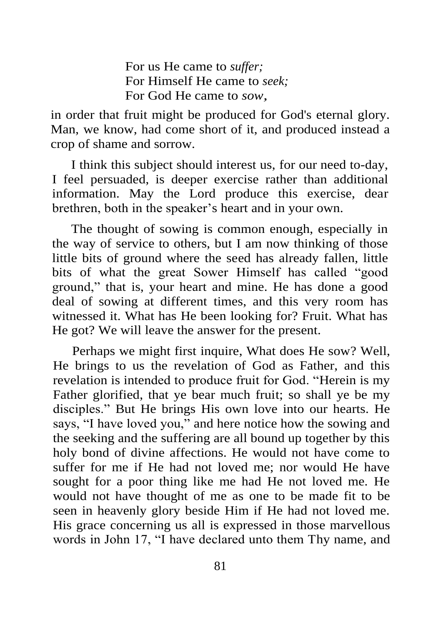For us He came to *suffer;* For Himself He came to *seek;* For God He came to *sow,* 

in order that fruit might be produced for God's eternal glory. Man, we know, had come short of it, and produced instead a crop of shame and sorrow.

I think this subject should interest us, for our need to-day, I feel persuaded, is deeper exercise rather than additional information. May the Lord produce this exercise, dear brethren, both in the speaker's heart and in your own.

The thought of sowing is common enough, especially in the way of service to others, but I am now thinking of those little bits of ground where the seed has already fallen, little bits of what the great Sower Himself has called "good ground," that is, your heart and mine. He has done a good deal of sowing at different times, and this very room has witnessed it. What has He been looking for? Fruit. What has He got? We will leave the answer for the present.

Perhaps we might first inquire, What does He sow? Well, He brings to us the revelation of God as Father, and this revelation is intended to produce fruit for God. "Herein is my Father glorified, that ye bear much fruit; so shall ye be my disciples." But He brings His own love into our hearts. He says, "I have loved you," and here notice how the sowing and the seeking and the suffering are all bound up together by this holy bond of divine affections. He would not have come to suffer for me if He had not loved me; nor would He have sought for a poor thing like me had He not loved me. He would not have thought of me as one to be made fit to be seen in heavenly glory beside Him if He had not loved me. His grace concerning us all is expressed in those marvellous words in John 17, "I have declared unto them Thy name, and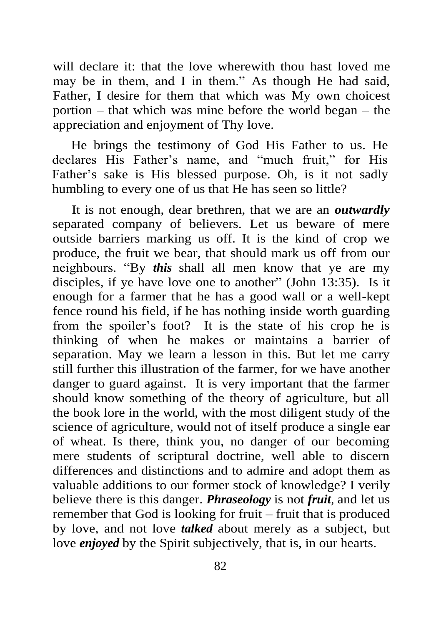will declare it: that the love wherewith thou hast loved me may be in them, and I in them." As though He had said, Father, I desire for them that which was My own choicest portion – that which was mine before the world began – the appreciation and enjoyment of Thy love.

He brings the testimony of God His Father to us. He declares His Father's name, and "much fruit," for His Father's sake is His blessed purpose. Oh, is it not sadly humbling to every one of us that He has seen so little?

It is not enough, dear brethren, that we are an *outwardly*  separated company of believers. Let us beware of mere outside barriers marking us off. It is the kind of crop we produce, the fruit we bear, that should mark us off from our neighbours. "By *this* shall all men know that ye are my disciples, if ye have love one to another" (John 13:35). Is it enough for a farmer that he has a good wall or a well-kept fence round his field, if he has nothing inside worth guarding from the spoiler's foot? It is the state of his crop he is thinking of when he makes or maintains a barrier of separation. May we learn a lesson in this. But let me carry still further this illustration of the farmer, for we have another danger to guard against. It is very important that the farmer should know something of the theory of agriculture, but all the book lore in the world, with the most diligent study of the science of agriculture, would not of itself produce a single ear of wheat. Is there, think you, no danger of our becoming mere students of scriptural doctrine, well able to discern differences and distinctions and to admire and adopt them as valuable additions to our former stock of knowledge? I verily believe there is this danger. *Phraseology* is not *fruit,* and let us remember that God is looking for fruit – fruit that is produced by love, and not love *talked* about merely as a subject, but love *enjoyed* by the Spirit subjectively, that is, in our hearts.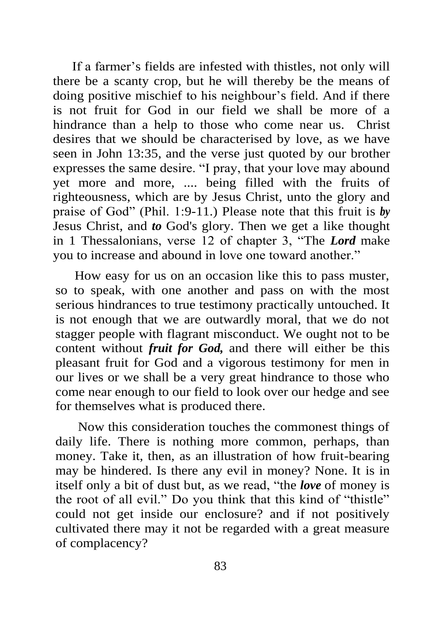If a farmer's fields are infested with thistles, not only will there be a scanty crop, but he will thereby be the means of doing positive mischief to his neighbour's field. And if there is not fruit for God in our field we shall be more of a hindrance than a help to those who come near us. Christ desires that we should be characterised by love, as we have seen in John 13:35, and the verse just quoted by our brother expresses the same desire. "I pray, that your love may abound yet more and more, .... being filled with the fruits of righteousness, which are by Jesus Christ, unto the glory and praise of God" (Phil. 1:9-11.) Please note that this fruit is *by* Jesus Christ, and *to* God's glory. Then we get a like thought in 1 Thessalonians, verse 12 of chapter 3, "The *Lord* make you to increase and abound in love one toward another."

How easy for us on an occasion like this to pass muster, so to speak, with one another and pass on with the most serious hindrances to true testimony practically untouched. It is not enough that we are outwardly moral, that we do not stagger people with flagrant misconduct. We ought not to be content without *fruit for God,* and there will either be this pleasant fruit for God and a vigorous testimony for men in our lives or we shall be a very great hindrance to those who come near enough to our field to look over our hedge and see for themselves what is produced there.

Now this consideration touches the commonest things of daily life. There is nothing more common, perhaps, than money. Take it, then, as an illustration of how fruit-bearing may be hindered. Is there any evil in money? None. It is in itself only a bit of dust but, as we read, "the *love* of money is the root of all evil." Do you think that this kind of "thistle" could not get inside our enclosure? and if not positively cultivated there may it not be regarded with a great measure of complacency?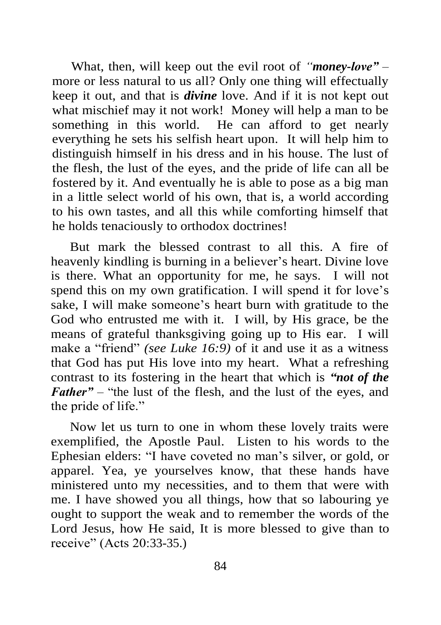What, then, will keep out the evil root of *"money-love" –* more or less natural to us all? Only one thing will effectually keep it out, and that is *divine* love. And if it is not kept out what mischief may it not work! Money will help a man to be something in this world. He can afford to get nearly everything he sets his selfish heart upon. It will help him to distinguish himself in his dress and in his house. The lust of the flesh, the lust of the eyes, and the pride of life can all be fostered by it. And eventually he is able to pose as a big man in a little select world of his own, that is, a world according to his own tastes, and all this while comforting himself that he holds tenaciously to orthodox doctrines!

But mark the blessed contrast to all this. A fire of heavenly kindling is burning in a believer's heart. Divine love is there. What an opportunity for me, he says. I will not spend this on my own gratification. I will spend it for love's sake, I will make someone's heart burn with gratitude to the God who entrusted me with it. I will, by His grace, be the means of grateful thanksgiving going up to His ear. I will make a "friend" *(see Luke 16:9)* of it and use it as a witness that God has put His love into my heart. What a refreshing contrast to its fostering in the heart that which is *"not of the Father*" – "the lust of the flesh, and the lust of the eyes, and the pride of life."

Now let us turn to one in whom these lovely traits were exemplified, the Apostle Paul. Listen to his words to the Ephesian elders: "I have coveted no man's silver, or gold, or apparel. Yea, ye yourselves know, that these hands have ministered unto my necessities, and to them that were with me. I have showed you all things, how that so labouring ye ought to support the weak and to remember the words of the Lord Jesus, how He said, It is more blessed to give than to receive" (Acts 20:33-35.)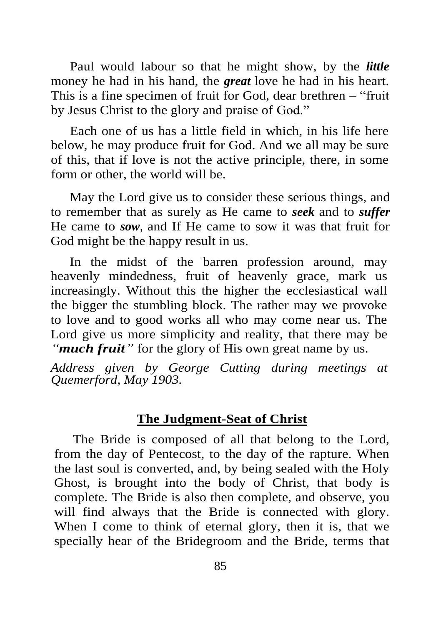Paul would labour so that he might show, by the *little* money he had in his hand, the *great* love he had in his heart. This is a fine specimen of fruit for God, dear brethren – "fruit by Jesus Christ to the glory and praise of God."

Each one of us has a little field in which, in his life here below, he may produce fruit for God. And we all may be sure of this, that if love is not the active principle, there, in some form or other, the world will be.

May the Lord give us to consider these serious things, and to remember that as surely as He came to *seek* and to *suffer* He came to *sow,* and If He came to sow it was that fruit for God might be the happy result in us.

In the midst of the barren profession around, may heavenly mindedness, fruit of heavenly grace, mark us increasingly. Without this the higher the ecclesiastical wall the bigger the stumbling block. The rather may we provoke to love and to good works all who may come near us. The Lord give us more simplicity and reality, that there may be *"much fruit"* for the glory of His own great name by us.

*Address given by George Cutting during meetings at Quemerford, May 1903.*

### **The Judgment-Seat of Christ**

The Bride is composed of all that belong to the Lord, from the day of Pentecost, to the day of the rapture. When the last soul is converted, and, by being sealed with the Holy Ghost, is brought into the body of Christ, that body is complete. The Bride is also then complete, and observe, you will find always that the Bride is connected with glory. When I come to think of eternal glory, then it is, that we specially hear of the Bridegroom and the Bride, terms that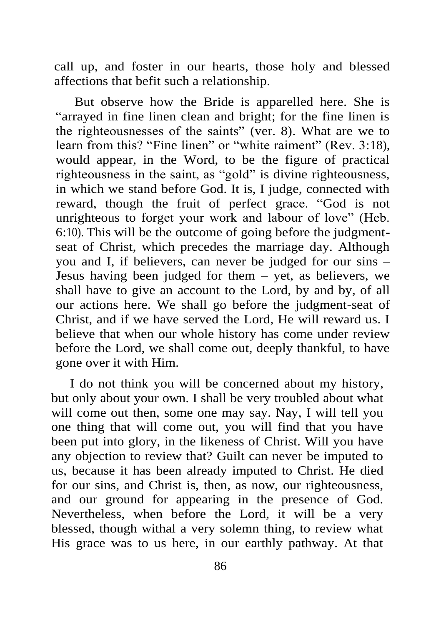call up, and foster in our hearts, those holy and blessed affections that befit such a relationship.

But observe how the Bride is apparelled here. She is "arrayed in fine linen clean and bright; for the fine linen is the righteousnesses of the saints" (ver. 8). What are we to learn from this? "Fine linen" or "white raiment" (Rev. 3:18), would appear, in the Word, to be the figure of practical righteousness in the saint, as "gold" is divine righteousness, in which we stand before God. It is, I judge, connected with reward, though the fruit of perfect grace. "God is not unrighteous to forget your work and labour of love" (Heb. 6:10). This will be the outcome of going before the judgmentseat of Christ, which precedes the marriage day. Although you and I, if believers, can never be judged for our sins – Jesus having been judged for them – yet, as believers, we shall have to give an account to the Lord, by and by, of all our actions here. We shall go before the judgment-seat of Christ, and if we have served the Lord, He will reward us. I believe that when our whole history has come under review before the Lord, we shall come out, deeply thankful, to have gone over it with Him.

I do not think you will be concerned about my history, but only about your own. I shall be very troubled about what will come out then, some one may say. Nay, I will tell you one thing that will come out, you will find that you have been put into glory, in the likeness of Christ. Will you have any objection to review that? Guilt can never be imputed to us, because it has been already imputed to Christ. He died for our sins, and Christ is, then, as now, our righteousness, and our ground for appearing in the presence of God. Nevertheless, when before the Lord, it will be a very blessed, though withal a very solemn thing, to review what His grace was to us here, in our earthly pathway. At that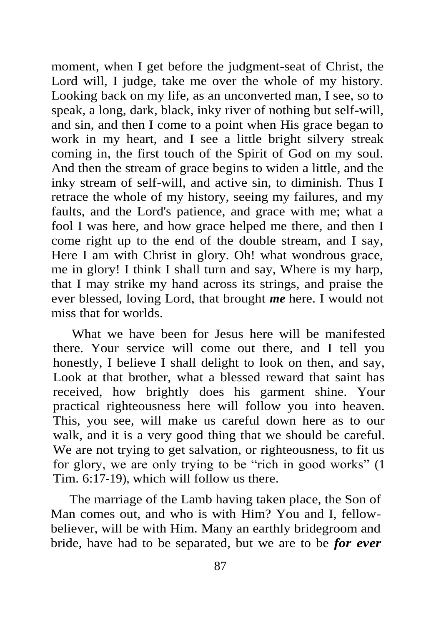moment, when I get before the judgment-seat of Christ, the Lord will, I judge, take me over the whole of my history. Looking back on my life, as an unconverted man, I see, so to speak, a long, dark, black, inky river of nothing but self-will, and sin, and then I come to a point when His grace began to work in my heart, and I see a little bright silvery streak coming in, the first touch of the Spirit of God on my soul. And then the stream of grace begins to widen a little, and the inky stream of self-will, and active sin, to diminish. Thus I retrace the whole of my history, seeing my failures, and my faults, and the Lord's patience, and grace with me; what a fool I was here, and how grace helped me there, and then I come right up to the end of the double stream, and I say, Here I am with Christ in glory. Oh! what wondrous grace, me in glory! I think I shall turn and say, Where is my harp, that I may strike my hand across its strings, and praise the ever blessed, loving Lord, that brought *me* here. I would not miss that for worlds.

What we have been for Jesus here will be manifested there. Your service will come out there, and I tell you honestly, I believe I shall delight to look on then, and say, Look at that brother, what a blessed reward that saint has received, how brightly does his garment shine. Your practical righteousness here will follow you into heaven. This, you see, will make us careful down here as to our walk, and it is a very good thing that we should be careful. We are not trying to get salvation, or righteousness, to fit us for glory, we are only trying to be "rich in good works" (1 Tim. 6:17-19), which will follow us there.

The marriage of the Lamb having taken place, the Son of Man comes out, and who is with Him? You and I, fellowbeliever, will be with Him. Many an earthly bridegroom and bride, have had to be separated, but we are to be *for ever*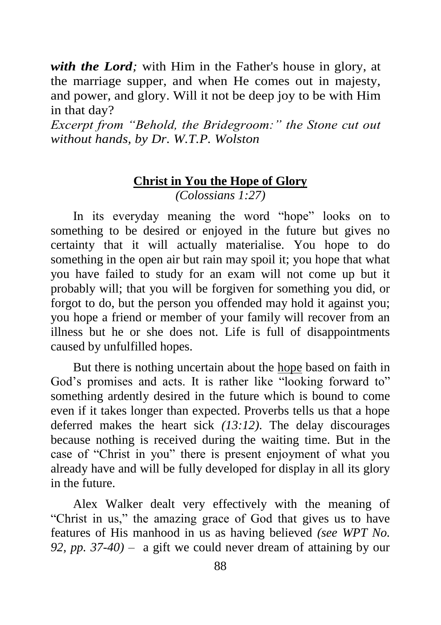*with the Lord;* with Him in the Father's house in glory, at the marriage supper, and when He comes out in majesty, and power, and glory. Will it not be deep joy to be with Him in that day?

*Excerpt from "Behold, the Bridegroom:" the Stone cut out without hands, by Dr. W.T.P. Wolston*

# **Christ in You the Hope of Glory**

*(Colossians 1:27)* 

In its everyday meaning the word "hope" looks on to something to be desired or enjoyed in the future but gives no certainty that it will actually materialise. You hope to do something in the open air but rain may spoil it; you hope that what you have failed to study for an exam will not come up but it probably will; that you will be forgiven for something you did, or forgot to do, but the person you offended may hold it against you; you hope a friend or member of your family will recover from an illness but he or she does not. Life is full of disappointments caused by unfulfilled hopes.

But there is nothing uncertain about the hope based on faith in God's promises and acts. It is rather like "looking forward to" something ardently desired in the future which is bound to come even if it takes longer than expected. Proverbs tells us that a hope deferred makes the heart sick *(13:12)*. The delay discourages because nothing is received during the waiting time. But in the case of "Christ in you" there is present enjoyment of what you already have and will be fully developed for display in all its glory in the future.

Alex Walker dealt very effectively with the meaning of "Christ in us," the amazing grace of God that gives us to have features of His manhood in us as having believed *(see WPT No. 92, pp. 37-40)* – a gift we could never dream of attaining by our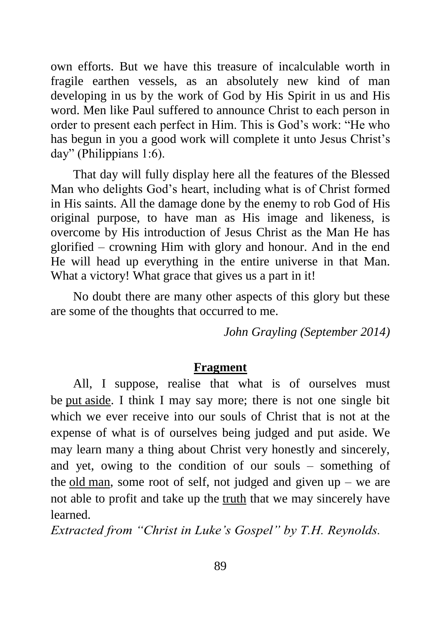own efforts. But we have this treasure of incalculable worth in fragile earthen vessels, as an absolutely new kind of man developing in us by the work of God by His Spirit in us and His word. Men like Paul suffered to announce Christ to each person in order to present each perfect in Him. This is God's work: "He who has begun in you a good work will complete it unto Jesus Christ's day" (Philippians 1:6).

That day will fully display here all the features of the Blessed Man who delights God's heart, including what is of Christ formed in His saints. All the damage done by the enemy to rob God of His original purpose, to have man as His image and likeness, is overcome by His introduction of Jesus Christ as the Man He has glorified – crowning Him with glory and honour. And in the end He will head up everything in the entire universe in that Man. What a victory! What grace that gives us a part in it!

No doubt there are many other aspects of this glory but these are some of the thoughts that occurred to me.

*John Grayling (September 2014)*

# **Fragment**

All, I suppose, realise that what is of ourselves must be [put](http://bibletruthpublishers.com/phut-put/ljm16316) aside. I think I may say more; there is not one single bit which we ever receive into our souls of Christ that is not at the expense of what is of ourselves being judged and put aside. We may learn many a thing about Christ very honestly and sincerely, and yet, owing to the condition of our souls – something of the [old](http://bibletruthpublishers.com/old-man/ljm21719) [man,](http://bibletruthpublishers.com/old-man/ljm21719) some root of self, not judged and given up – we are not able to profit and take up the [truth](http://bibletruthpublishers.com/truth/ljm22405) that we may sincerely have learned.

*Extracted from "Christ in Luke's Gospel" by T.H. Reynolds.*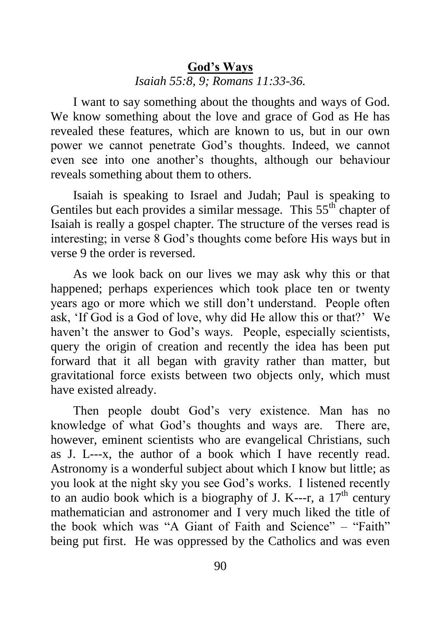# **God's Ways** *Isaiah 55:8, 9; Romans 11:33-36.*

I want to say something about the thoughts and ways of God. We know something about the love and grace of God as He has revealed these features, which are known to us, but in our own power we cannot penetrate God's thoughts. Indeed, we cannot even see into one another's thoughts, although our behaviour reveals something about them to others.

Isaiah is speaking to Israel and Judah; Paul is speaking to Gentiles but each provides a similar message. This 55<sup>th</sup> chapter of Isaiah is really a gospel chapter. The structure of the verses read is interesting; in verse 8 God's thoughts come before His ways but in verse 9 the order is reversed.

As we look back on our lives we may ask why this or that happened; perhaps experiences which took place ten or twenty years ago or more which we still don't understand. People often ask, 'If God is a God of love, why did He allow this or that?' We haven't the answer to God's ways. People, especially scientists, query the origin of creation and recently the idea has been put forward that it all began with gravity rather than matter, but gravitational force exists between two objects only, which must have existed already.

Then people doubt God's very existence. Man has no knowledge of what God's thoughts and ways are. There are, however, eminent scientists who are evangelical Christians, such as J. L---x, the author of a book which I have recently read. Astronomy is a wonderful subject about which I know but little; as you look at the night sky you see God's works. I listened recently to an audio book which is a biography of J. K---r, a  $17<sup>th</sup>$  century mathematician and astronomer and I very much liked the title of the book which was "A Giant of Faith and Science" – "Faith" being put first. He was oppressed by the Catholics and was even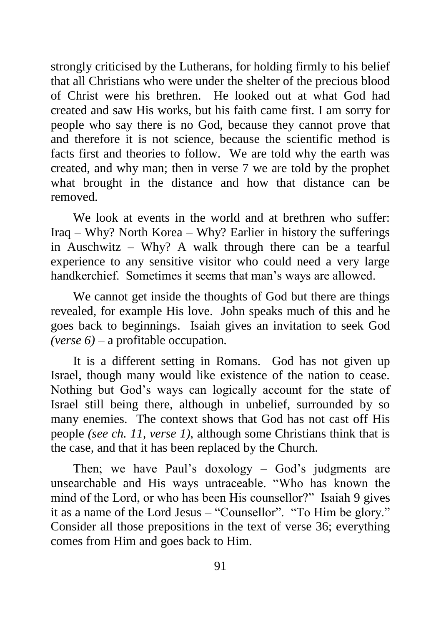strongly criticised by the Lutherans, for holding firmly to his belief that all Christians who were under the shelter of the precious blood of Christ were his brethren. He looked out at what God had created and saw His works, but his faith came first. I am sorry for people who say there is no God, because they cannot prove that and therefore it is not science, because the scientific method is facts first and theories to follow. We are told why the earth was created, and why man; then in verse 7 we are told by the prophet what brought in the distance and how that distance can be removed.

We look at events in the world and at brethren who suffer: Iraq – Why? North Korea – Why? Earlier in history the sufferings in Auschwitz – Why? A walk through there can be a tearful experience to any sensitive visitor who could need a very large handkerchief. Sometimes it seems that man's ways are allowed.

We cannot get inside the thoughts of God but there are things revealed, for example His love. John speaks much of this and he goes back to beginnings. Isaiah gives an invitation to seek God *(verse 6)* – a profitable occupation*.*

It is a different setting in Romans. God has not given up Israel, though many would like existence of the nation to cease. Nothing but God's ways can logically account for the state of Israel still being there, although in unbelief, surrounded by so many enemies. The context shows that God has not cast off His people *(see ch. 11, verse 1)*, although some Christians think that is the case, and that it has been replaced by the Church.

Then; we have Paul's doxology – God's judgments are unsearchable and His ways untraceable. "Who has known the mind of the Lord, or who has been His counsellor?" Isaiah 9 gives it as a name of the Lord Jesus – "Counsellor". "To Him be glory." Consider all those prepositions in the text of verse 36; everything comes from Him and goes back to Him.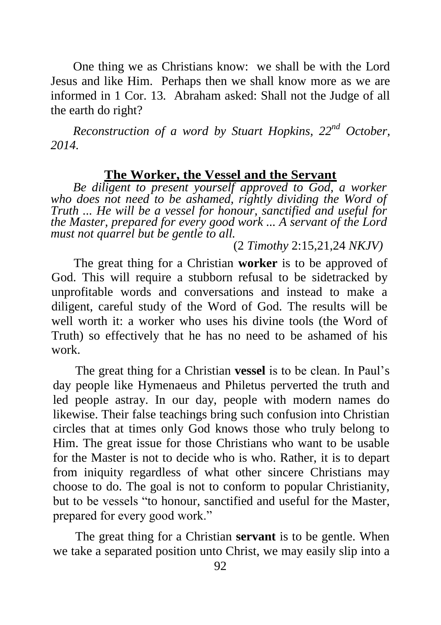One thing we as Christians know: we shall be with the Lord Jesus and like Him. Perhaps then we shall know more as we are informed in 1 Cor. 13*.* Abraham asked: Shall not the Judge of all the earth do right?

*Reconstruction of a word by Stuart Hopkins, 22nd October, 2014.*

#### **The Worker, the Vessel and the Servant**

*Be diligent to present yourself approved to God, a worker*  who does not need to be ashamed, rightly dividing the Word of *Truth ... He will be a vessel for honour, sanctified and useful for the Master, prepared for every good work ... A servant of the Lord must not quarrel but be gentle to all.*

(2 *Timothy* 2:15,21,24 *NKJV)* 

The great thing for a Christian **worker** is to be approved of God. This will require a stubborn refusal to be sidetracked by unprofitable words and conversations and instead to make a diligent, careful study of the Word of God. The results will be well worth it: a worker who uses his divine tools (the Word of Truth) so effectively that he has no need to be ashamed of his work.

The great thing for a Christian **vessel** is to be clean. In Paul's day people like Hymenaeus and Philetus perverted the truth and led people astray. In our day, people with modern names do likewise. Their false teachings bring such confusion into Christian circles that at times only God knows those who truly belong to Him. The great issue for those Christians who want to be usable for the Master is not to decide who is who. Rather, it is to depart from iniquity regardless of what other sincere Christians may choose to do. The goal is not to conform to popular Christianity, but to be vessels "to honour, sanctified and useful for the Master, prepared for every good work."

The great thing for a Christian **servant** is to be gentle. When we take a separated position unto Christ, we may easily slip into a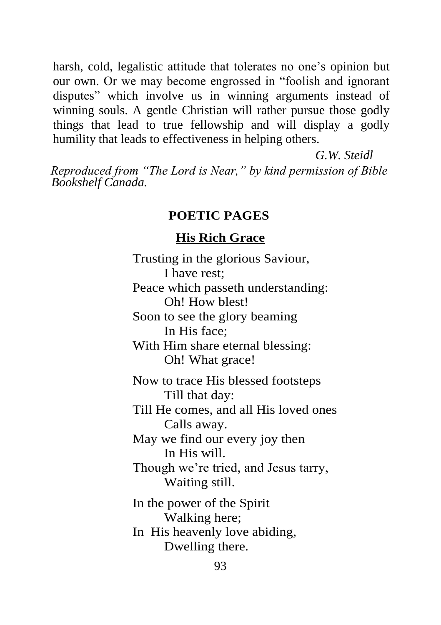harsh, cold, legalistic attitude that tolerates no one's opinion but our own. Or we may become engrossed in "foolish and ignorant disputes" which involve us in winning arguments instead of winning souls. A gentle Christian will rather pursue those godly things that lead to true fellowship and will display a godly humility that leads to effectiveness in helping others.

*G.W. Steidl*

*Reproduced from "The Lord is Near," by kind permission of Bible Bookshelf Canada.*

### **POETIC PAGES**

#### **His Rich Grace**

Trusting in the glorious Saviour, I have rest; Peace which passeth understanding: Oh! How blest! Soon to see the glory beaming In His face; With Him share eternal blessing: Oh! What grace! Now to trace His blessed footsteps Till that day: Till He comes, and all His loved ones Calls away. May we find our every joy then In His will. Though we're tried, and Jesus tarry, Waiting still. In the power of the Spirit Walking here; In His heavenly love abiding, Dwelling there.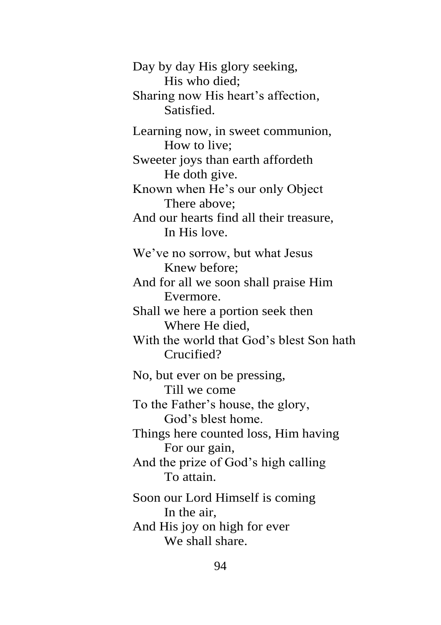Day by day His glory seeking, His who died; Sharing now His heart's affection, Satisfied. Learning now, in sweet communion, How to live; Sweeter joys than earth affordeth He doth give. Known when He's our only Object There above; And our hearts find all their treasure, In His love. We've no sorrow, but what Jesus Knew before; And for all we soon shall praise Him Evermore. Shall we here a portion seek then Where He died, With the world that God's blest Son hath Crucified? No, but ever on be pressing, Till we come To the Father's house, the glory, God's blest home. Things here counted loss, Him having For our gain, And the prize of God's high calling To attain. Soon our Lord Himself is coming In the air, And His joy on high for ever We shall share.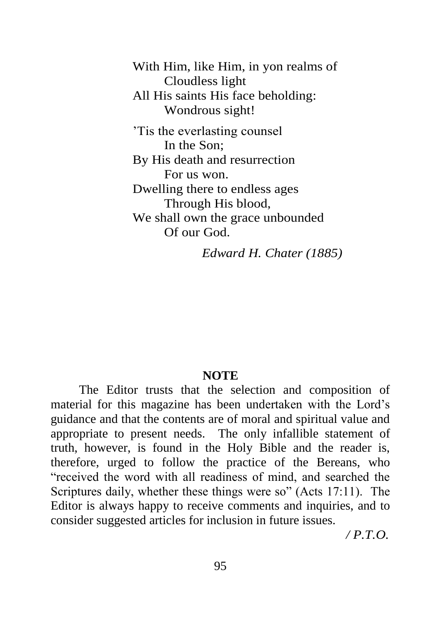With Him, like Him, in yon realms of Cloudless light All His saints His face beholding: Wondrous sight!

'Tis the everlasting counsel In the Son; By His death and resurrection For us won. Dwelling there to endless ages Through His blood, We shall own the grace unbounded Of our God.

*Edward H. Chater (1885)*

#### **NOTE**

The Editor trusts that the selection and composition of material for this magazine has been undertaken with the Lord's guidance and that the contents are of moral and spiritual value and appropriate to present needs. The only infallible statement of truth, however, is found in the Holy Bible and the reader is, therefore, urged to follow the practice of the Bereans, who "received the word with all readiness of mind, and searched the Scriptures daily, whether these things were so" (Acts 17:11). The Editor is always happy to receive comments and inquiries, and to consider suggested articles for inclusion in future issues.

*/ P.T.O.*